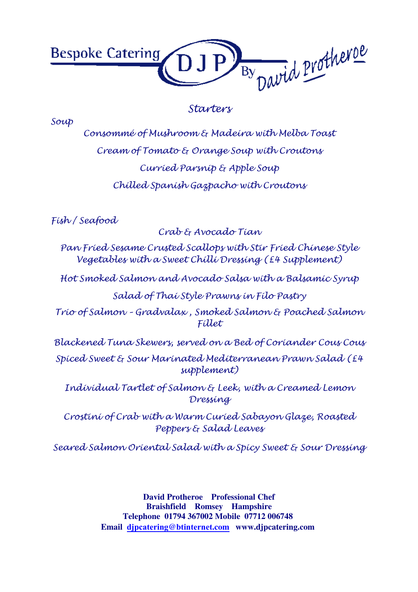

#### Starters

Soup

Consommé of Mushroom & Madeira with Melba Toast Cream of Tomato & Orange Soup with Croutons Curried Parsnip & Apple Soup Chilled Spanish Gazpacho with Croutons

Fish / Seafood

Crab & Avocado Tian

Pan Fried Sesame Crusted Scallops with Stir Fried Chinese Style Vegetables with a Sweet Chilli Dressing (£4 Supplement)

Hot Smoked Salmon and Avocado Salsa with a Balsamic Syrup

Salad of Thai Style Prawns in Filo Pastry

Trio of Salmon – Gradvalax , Smoked Salmon & Poached Salmon Fillet

Blackened Tuna Skewers, served on a Bed of Coriander Cous Cous

Spiced Sweet & Sour Marinated Mediterranean Prawn Salad (£4 supplement)

Individual Tartlet of Salmon & Leek, with a Creamed Lemon Dressing

Crostini of Crab with a Warm Curied Sabayon Glaze, Roasted Peppers & Salad Leaves

Seared Salmon Oriental Salad with a Spicy Sweet & Sour Dressing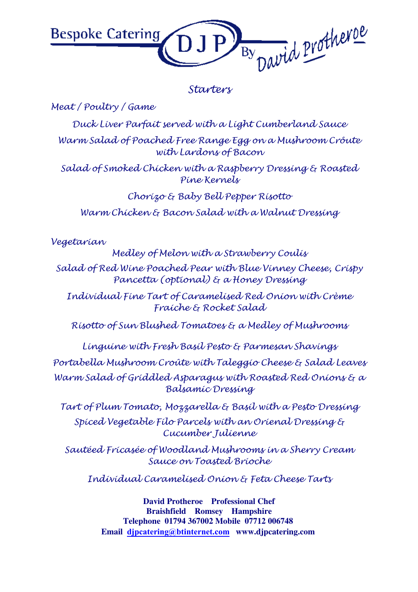

#### Starters

Meat / Poultry / Game

Duck Liver Parfait served with a Light Cumberland Sauce Warm Salad of Poached Free Range Egg on a Mushroom Crôute with Lardons of Bacon

Salad of Smoked Chicken with a Raspberry Dressing & Roasted Pine Kernels

Chorizo & Baby Bell Pepper Risotto Warm Chicken & Bacon Salad with a Walnut Dressing

Vegetarian

Medley of Melon with a Strawberry Coulis

Salad of Red Wine Poached Pear with Blue Vinney Cheese, Crispy Pancetta (optional) & a Honey Dressing

Individual Fine Tart of Caramelised Red Onion with Crème Fraiche & Rocket Salad

Risotto of Sun Blushed Tomatoes & a Medley of Mushrooms

Linguine with Fresh Basil Pesto & Parmesan Shavings Portabella Mushroom Croûte with Taleggio Cheese & Salad Leaves Warm Salad of Griddled Asparagus with Roasted Red Onions & a Balsamic Dressing

Tart of Plum Tomato, Mozzarella & Basil with a Pesto Dressing Spiced Vegetable Filo Parcels with an Orienal Dressing & Cucumber Julienne

Sautéed Fricasée of Woodland Mushrooms in a Sherry Cream Sauce on Toasted Brioche

Individual Caramelised Onion & Feta Cheese Tarts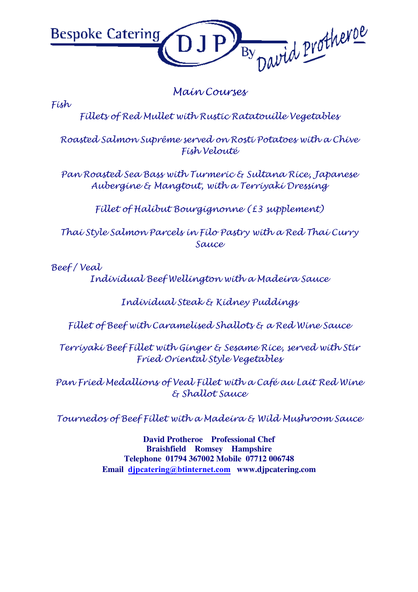

Main Courses

Fish

Fillets of Red Mullet with Rustic Ratatouille Vegetables

Roasted Salmon Suprême served on Rosti Potatoes with a Chive Fish Velouté

Pan Roasted Sea Bass with Turmeric & Sultana Rice, Japanese Aubergine & Mangtout, with a Terriyaki Dressing

Fillet of Halibut Bourgignonne (£3 supplement)

Thai Style Salmon Parcels in Filo Pastry with a Red Thai Curry Sauce

Beef / Veal

Individual Beef Wellington with a Madeira Sauce

Individual Steak & Kidney Puddings

Fillet of Beef with Caramelised Shallots & a Red Wine Sauce

Terriyaki Beef Fillet with Ginger & Sesame Rice, served with Stir Fried Oriental Style Vegetables

Pan Fried Medallions of Veal Fillet with a Café au Lait Red Wine & Shallot Sauce

Tournedos of Beef Fillet with a Madeira & Wild Mushroom Sauce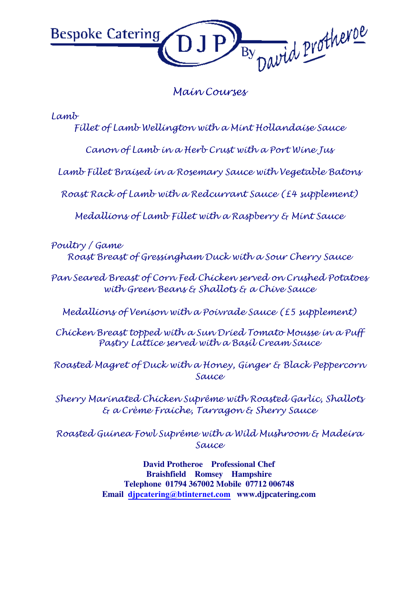

## Main Courses

Lamb

Fillet of Lamb Wellington with a Mint Hollandaise Sauce

Canon of Lamb in a Herb Crust with a Port Wine Jus

Lamb Fillet Braised in a Rosemary Sauce with Vegetable Batons

Roast Rack of Lamb with a Redcurrant Sauce (£4 supplement)

Medallions of Lamb Fillet with a Raspberry & Mint Sauce

Poultry / Game Roast Breast of Gressingham Duck with a Sour Cherry Sauce

Pan Seared Breast of Corn Fed Chicken served on Crushed Potatoes with Green Beans & Shallots & a Chive Sauce

Medallions of Venison with a Poivrade Sauce (£5 supplement)

Chicken Breast topped with a Sun Dried Tomato Mousse in a Puff Pastry Lattice served with a Basil Cream Sauce

Roasted Magret of Duck with a Honey, Ginger & Black Peppercorn Sauce

Sherry Marinated Chicken Suprême with Roasted Garlic, Shallots & a Crème Fraiche, Tarragon & Sherry Sauce

Roasted Guinea Fowl Suprême with a Wild Mushroom & Madeira Sauce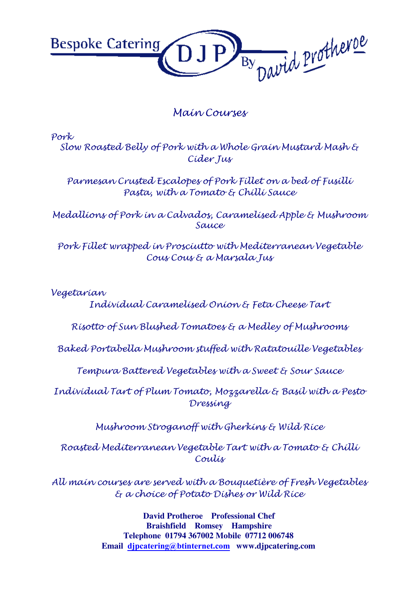

# Main Courses

Pork Slow Roasted Belly of Pork with a Whole Grain Mustard Mash & Cider Jus

Parmesan Crusted Escalopes of Pork Fillet on a bed of Fusilli Pasta, with a Tomato & Chilli Sauce

Medallions of Pork in a Calvados, Caramelised Apple & Mushroom Sauce

Pork Fillet wrapped in Prosciutto with Mediterranean Vegetable Cous Cous & a Marsala Jus

Vegetarian

Individual Caramelised Onion & Feta Cheese Tart

Risotto of Sun Blushed Tomatoes & a Medley of Mushrooms

Baked Portabella Mushroom stuffed with Ratatouille Vegetables

Tempura Battered Vegetables with a Sweet & Sour Sauce

Individual Tart of Plum Tomato, Mozzarella & Basil with a Pesto Dressing

Mushroom Stroganoff with Gherkins & Wild Rice

Roasted Mediterranean Vegetable Tart with a Tomato & Chilli Coulis

All main courses are served with a Bouquetière of Fresh Vegetables & a choice of Potato Dishes or Wild Rice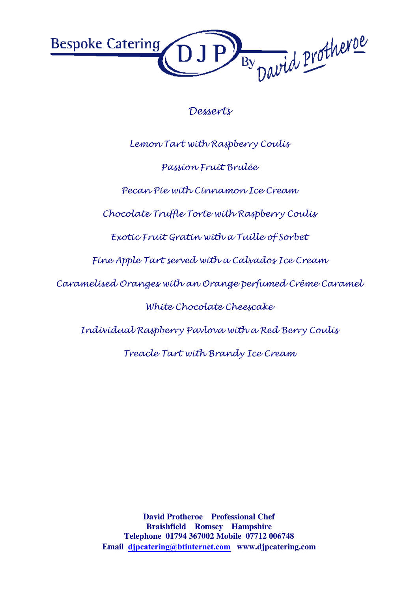By David Protheroe **Bespoke Catering** 

## Desserts

Lemon Tart with Raspberry Coulis

Passion Fruit Brulée

Pecan Pie with Cinnamon Ice Cream

Chocolate Truffle Torte with Raspberry Coulis

Exotic Fruit Gratin with a Tuille of Sorbet

Fine Apple Tart served with a Calvados Ice Cream

Caramelised Oranges with an Orange perfumed Crême Caramel

White Chocolate Cheescake

Individual Raspberry Pavlova with a Red Berry Coulis

Treacle Tart with Brandy Ice Cream